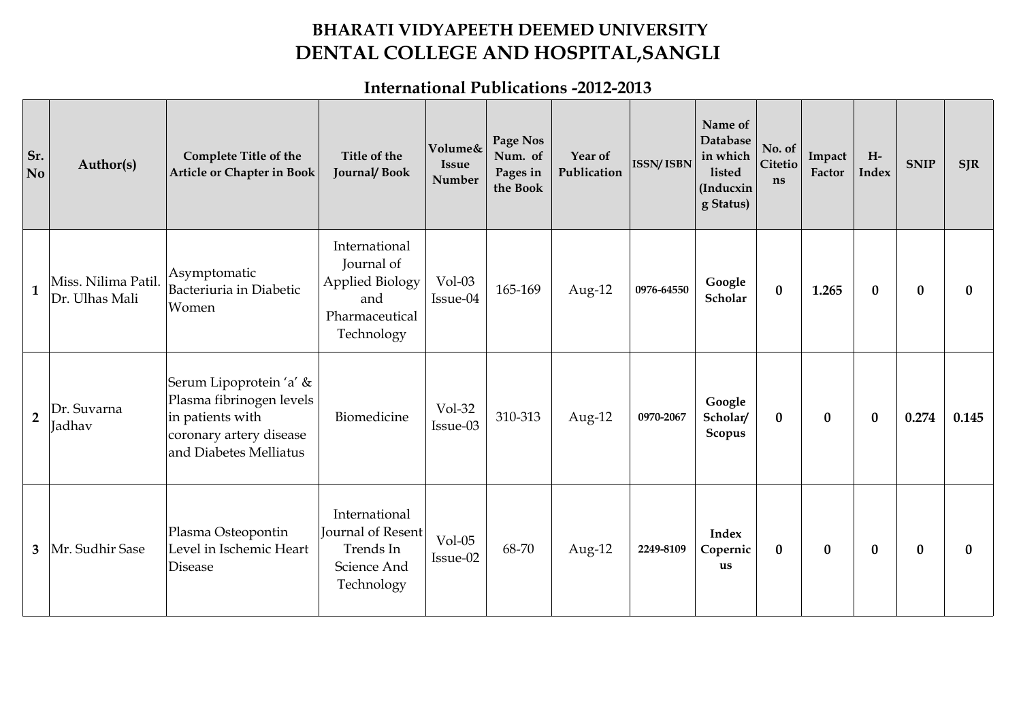## **BHARATI VIDYAPEETH DEEMED UNIVERSITY DENTAL COLLEGE AND HOSPITAL,SANGLI**

## **International Publications -2012-2013**

| Sr.<br>N <sub>o</sub> | Author(s)                             | <b>Complete Title of the</b><br><b>Article or Chapter in Book</b>                                                            | Title of the<br>Journal/Book                                                                 | Volume&<br><b>Issue</b><br>Number | Page Nos<br>Num. of<br>Pages in<br>the Book | Year of<br>Publication | <b>ISSN/ISBN</b> | Name of<br>Database<br>in which<br>listed<br>(Inducxin<br>g Status) | No. of<br>Citetio<br>ns | Impact<br>Factor | $H-$<br><b>Index</b> | <b>SNIP</b> | <b>SJR</b>   |
|-----------------------|---------------------------------------|------------------------------------------------------------------------------------------------------------------------------|----------------------------------------------------------------------------------------------|-----------------------------------|---------------------------------------------|------------------------|------------------|---------------------------------------------------------------------|-------------------------|------------------|----------------------|-------------|--------------|
| $\mathbf{1}$          | Miss. Nilima Patil.<br>Dr. Ulhas Mali | Asymptomatic<br>Bacteriuria in Diabetic<br>Women                                                                             | International<br>Journal of<br><b>Applied Biology</b><br>and<br>Pharmaceutical<br>Technology | $Vol-03$<br>Issue-04              | 165-169                                     | Aug-12                 | 0976-64550       | Google<br>Scholar                                                   | $\bf{0}$                | 1.265            | $\bf{0}$             | $\bf{0}$    | $\mathbf{0}$ |
| $\overline{2}$        | Dr. Suvarna<br>Jadhav                 | Serum Lipoprotein 'a' &<br>Plasma fibrinogen levels<br>in patients with<br>coronary artery disease<br>and Diabetes Melliatus | Biomedicine                                                                                  | Vol-32<br>Issue-03                | 310-313                                     | Aug-12                 | 0970-2067        | Google<br>Scholar/<br>Scopus                                        | $\bf{0}$                | $\bf{0}$         | $\bf{0}$             | 0.274       | 0.145        |
| $\mathbf{3}$          | Mr. Sudhir Sase                       | Plasma Osteopontin<br>Level in Ischemic Heart<br>Disease                                                                     | International<br>Journal of Resent<br>Trends In<br>Science And<br>Technology                 | $Vol-05$<br>Issue-02              | 68-70                                       | Aug-12                 | 2249-8109        | <b>Index</b><br>Copernic<br>us                                      | $\bf{0}$                | $\bf{0}$         | $\bf{0}$             | $\bf{0}$    |              |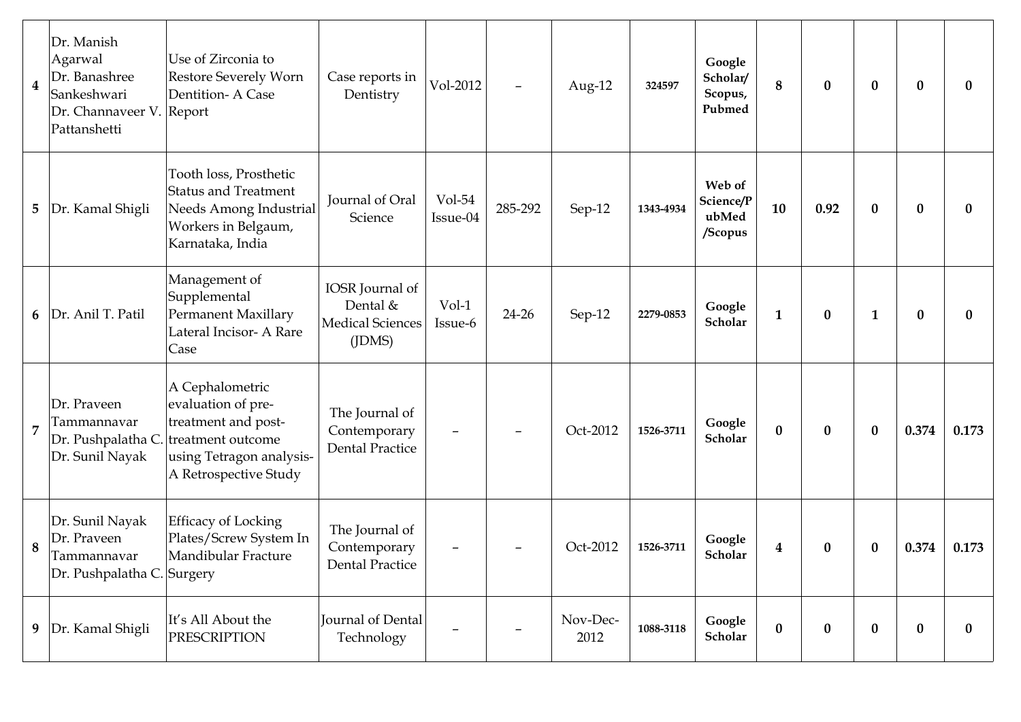| $\overline{\mathbf{4}}$ | Dr. Manish<br>Agarwal<br>Dr. Banashree<br>Sankeshwari<br>Dr. Channaveer V. Report<br>Pattanshetti | Use of Zirconia to<br>Restore Severely Worn<br>Dentition-A Case                                                                        | Case reports in<br>Dentistry                                           | Vol-2012             | $\overline{\phantom{m}}$ | Aug-12           | 324597    | Google<br>Scholar/<br>Scopus,<br>Pubmed | $\bf 8$          | $\bf{0}$ | $\bf{0}$     | $\boldsymbol{0}$ | $\mathbf{0}$     |
|-------------------------|---------------------------------------------------------------------------------------------------|----------------------------------------------------------------------------------------------------------------------------------------|------------------------------------------------------------------------|----------------------|--------------------------|------------------|-----------|-----------------------------------------|------------------|----------|--------------|------------------|------------------|
| 5                       | Dr. Kamal Shigli                                                                                  | Tooth loss, Prosthetic<br><b>Status and Treatment</b><br>Needs Among Industrial<br>Workers in Belgaum,<br>Karnataka, India             | Journal of Oral<br>Science                                             | $Vol-54$<br>Issue-04 | 285-292                  | Sep-12           | 1343-4934 | Web of<br>Science/P<br>ubMed<br>/Scopus | 10               | 0.92     | $\bf{0}$     | $\bf{0}$         | $\bf{0}$         |
| 6                       | Dr. Anil T. Patil                                                                                 | Management of<br>Supplemental<br><b>Permanent Maxillary</b><br>Lateral Incisor- A Rare<br>Case                                         | IOSR Journal of<br>Dental &<br><b>Medical Sciences</b><br>$($ J $DMS)$ | Vol-1<br>Issue-6     | $24 - 26$                | Sep-12           | 2279-0853 | Google<br>Scholar                       | $\mathbf{1}$     | $\bf{0}$ | $\mathbf{1}$ | $\bf{0}$         | $\boldsymbol{0}$ |
| $\overline{7}$          | Dr. Praveen<br>Tammannavar<br>Dr. Pushpalatha C.<br>Dr. Sunil Nayak                               | A Cephalometric<br>evaluation of pre-<br>treatment and post-<br>treatment outcome<br>using Tetragon analysis-<br>A Retrospective Study | The Journal of<br>Contemporary<br><b>Dental Practice</b>               |                      |                          | Oct-2012         | 1526-3711 | Google<br>Scholar                       | $\bf{0}$         | $\bf{0}$ | $\bf{0}$     | 0.374            | 0.173            |
| 8                       | Dr. Sunil Nayak<br>Dr. Praveen<br>Tammannavar<br>Dr. Pushpalatha C. Surgery                       | <b>Efficacy of Locking</b><br>Plates/Screw System In<br>Mandibular Fracture                                                            | The Journal of<br>Contemporary<br><b>Dental Practice</b>               |                      |                          | Oct-2012         | 1526-3711 | Google<br>Scholar                       | $\boldsymbol{4}$ | $\bf{0}$ | $\bf{0}$     | 0.374            | 0.173            |
| 9                       | Dr. Kamal Shigli                                                                                  | It's All About the<br><b>PRESCRIPTION</b>                                                                                              | Journal of Dental<br>Technology                                        |                      |                          | Nov-Dec-<br>2012 | 1088-3118 | Google<br>Scholar                       | $\pmb{0}$        | $\bf{0}$ | $\bf{0}$     | $\boldsymbol{0}$ | $\bf{0}$         |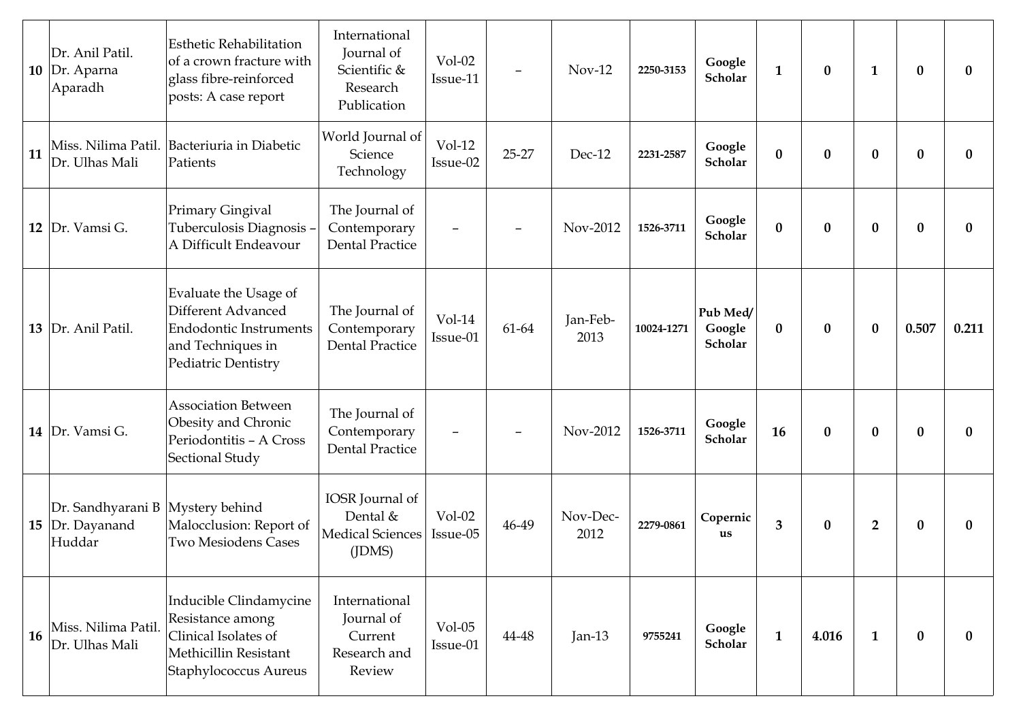|    | Dr. Anil Patil.<br>10 Dr. Aparna<br>Aparadh                   | <b>Esthetic Rehabilitation</b><br>of a crown fracture with<br>glass fibre-reinforced<br>posts: A case report             | International<br>Journal of<br>Scientific &<br>Research<br>Publication | $Vol-02$<br>Issue-11 | $\overline{\phantom{m}}$ | $Nov-12$         | 2250-3153  | Google<br>Scholar             | $\mathbf{1}$     | $\bf{0}$         | $\mathbf{1}$   | $\bf{0}$     | $\bf{0}$         |
|----|---------------------------------------------------------------|--------------------------------------------------------------------------------------------------------------------------|------------------------------------------------------------------------|----------------------|--------------------------|------------------|------------|-------------------------------|------------------|------------------|----------------|--------------|------------------|
| 11 | Miss. Nilima Patil.<br>Dr. Ulhas Mali                         | Bacteriuria in Diabetic<br>Patients                                                                                      | World Journal of<br>Science<br>Technology                              | $Vol-12$<br>Issue-02 | $25 - 27$                | Dec-12           | 2231-2587  | Google<br>Scholar             | $\boldsymbol{0}$ | $\boldsymbol{0}$ | $\bf{0}$       | $\bf{0}$     | $\bf{0}$         |
|    | 12 Dr. Vamsi G.                                               | Primary Gingival<br>Tuberculosis Diagnosis -<br>A Difficult Endeavour                                                    | The Journal of<br>Contemporary<br><b>Dental Practice</b>               |                      |                          | Nov-2012         | 1526-3711  | Google<br>Scholar             | $\bf{0}$         | $\bf{0}$         | $\bf{0}$       | $\bf{0}$     | $\bf{0}$         |
|    | 13 Dr. Anil Patil.                                            | Evaluate the Usage of<br>Different Advanced<br><b>Endodontic Instruments</b><br>and Techniques in<br>Pediatric Dentistry | The Journal of<br>Contemporary<br><b>Dental Practice</b>               | $Vol-14$<br>Issue-01 | 61-64                    | Jan-Feb-<br>2013 | 10024-1271 | Pub Med/<br>Google<br>Scholar | $\bf{0}$         | $\bf{0}$         | $\bf{0}$       | 0.507        | 0.211            |
|    | 14   Dr. Vamsi G.                                             | <b>Association Between</b><br>Obesity and Chronic<br>Periodontitis - A Cross<br>Sectional Study                          | The Journal of<br>Contemporary<br><b>Dental Practice</b>               |                      |                          | Nov-2012         | 1526-3711  | Google<br>Scholar             | 16               | $\bf{0}$         | $\bf{0}$       | $\bf{0}$     | $\bf{0}$         |
|    | Dr. Sandhyarani B Mystery behind<br>15 Dr. Dayanand<br>Huddar | Malocclusion: Report of<br><b>Two Mesiodens Cases</b>                                                                    | IOSR Journal of<br>Dental &<br><b>Medical Sciences</b><br>(IDMS)       | $Vol-02$<br>Issue-05 | 46-49                    | Nov-Dec-<br>2012 | 2279-0861  | Copernic<br>us                | $\mathbf{3}$     | $\bf{0}$         | $\overline{2}$ | $\bf{0}$     | $\boldsymbol{0}$ |
| 16 | Miss. Nilima Patil.<br>Dr. Ulhas Mali                         | Inducible Clindamycine<br>Resistance among<br>Clinical Isolates of<br>Methicillin Resistant<br>Staphylococcus Aureus     | International<br>Journal of<br>Current<br>Research and<br>Review       | $Vol-05$<br>Issue-01 | 44-48                    | Jan- $13$        | 9755241    | Google<br>Scholar             | $\mathbf{1}$     | 4.016            | $\mathbf{1}$   | $\mathbf{0}$ | $\bf{0}$         |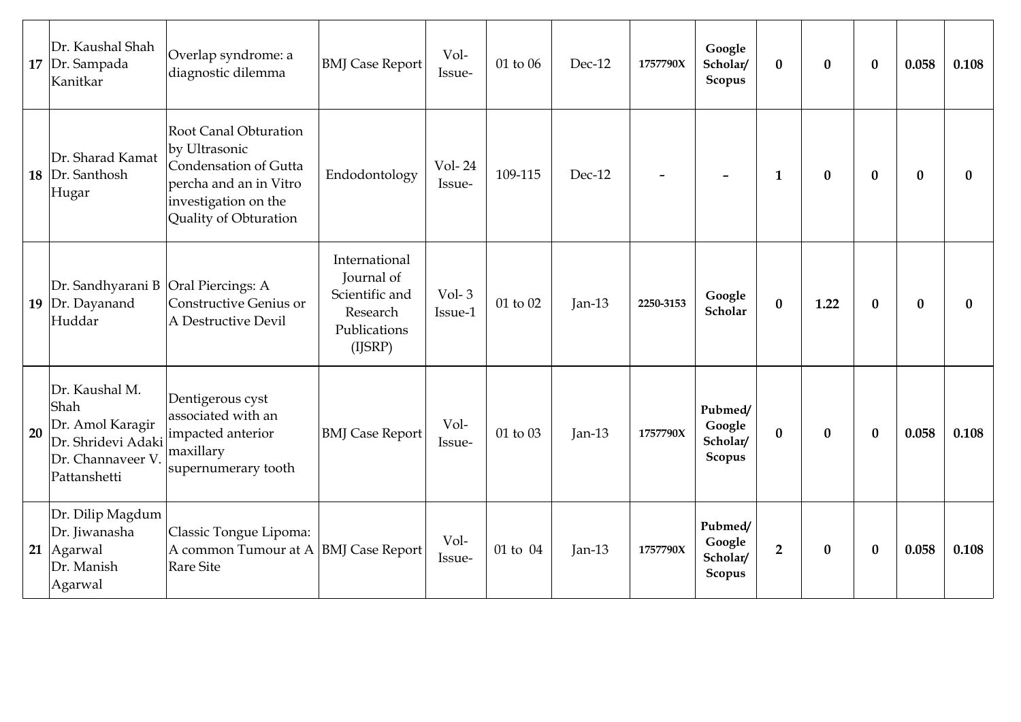|    | Dr. Kaushal Shah<br>$17$ Dr. Sampada<br>Kanitkar                                                      | Overlap syndrome: a<br>diagnostic dilemma                                                                                                         | <b>BMJ</b> Case Report                                                               | Vol-<br>Issue-     | 01 to 06     | Dec-12    | 1757790X  | Google<br>Scholar/<br>Scopus                   | $\bf{0}$       | $\bf{0}$ | $\bf{0}$         | 0.058        | 0.108        |
|----|-------------------------------------------------------------------------------------------------------|---------------------------------------------------------------------------------------------------------------------------------------------------|--------------------------------------------------------------------------------------|--------------------|--------------|-----------|-----------|------------------------------------------------|----------------|----------|------------------|--------------|--------------|
| 18 | Dr. Sharad Kamat<br>Dr. Santhosh<br>Hugar                                                             | <b>Root Canal Obturation</b><br>by Ultrasonic<br>Condensation of Gutta<br>percha and an in Vitro<br>investigation on the<br>Quality of Obturation | Endodontology                                                                        | Vol-24<br>Issue-   | 109-115      | $Dec-12$  |           |                                                | $\mathbf{1}$   | $\bf{0}$ | $\bf{0}$         | $\mathbf{0}$ | $\bf{0}$     |
|    | Dr. Sandhyarani B Oral Piercings: A<br>19 Dr. Dayanand<br>Huddar                                      | Constructive Genius or<br>A Destructive Devil                                                                                                     | International<br>Journal of<br>Scientific and<br>Research<br>Publications<br>(IJSRP) | $Vol-3$<br>Issue-1 | $01$ to $02$ | $Jan-13$  | 2250-3153 | Google<br>Scholar                              | $\bf{0}$       | 1.22     | $\boldsymbol{0}$ | $\bf{0}$     | $\mathbf{0}$ |
| 20 | Dr. Kaushal M.<br>Shah<br>Dr. Amol Karagir<br>Dr. Shridevi Adaki<br>Dr. Channaveer V.<br>Pattanshetti | Dentigerous cyst<br>associated with an<br>impacted anterior<br>maxillary<br>supernumerary tooth                                                   | <b>BMJ</b> Case Report                                                               | Vol-<br>Issue-     | 01 to 03     | Jan- $13$ | 1757790X  | Pubmed/<br>Google<br>Scholar/<br>Scopus        | $\bf{0}$       | $\bf{0}$ | $\bf{0}$         | 0.058        | 0.108        |
|    | Dr. Dilip Magdum<br>Dr. Jiwanasha<br>21   Agarwal<br>Dr. Manish<br>Agarwal                            | Classic Tongue Lipoma:<br>A common Tumour at A BMJ Case Report<br><b>Rare Site</b>                                                                |                                                                                      | Vol-<br>Issue-     | 01 to 04     | Jan- $13$ | 1757790X  | Pubmed/<br>Google<br>Scholar/<br><b>Scopus</b> | $\overline{2}$ | $\bf{0}$ | $\boldsymbol{0}$ | 0.058        | 0.108        |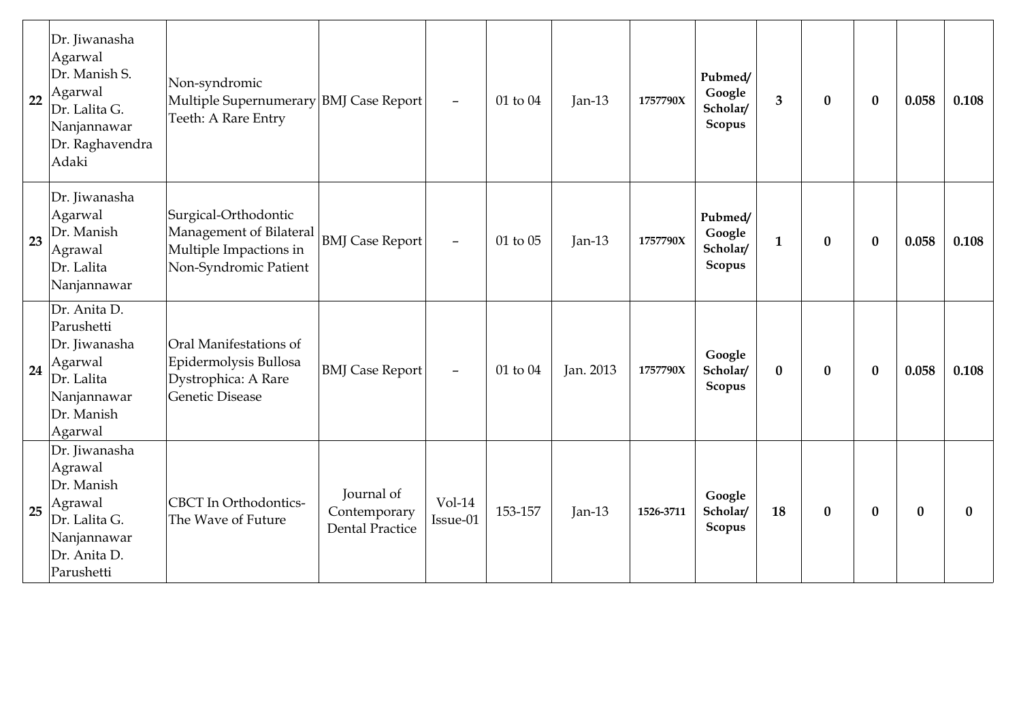| 22 | Dr. Jiwanasha<br>Agarwal<br>Dr. Manish S.<br>Agarwal<br>Dr. Lalita G.<br>Nanjannawar<br>Dr. Raghavendra<br>Adaki | Non-syndromic<br>Multiple Supernumerary BMJ Case Report<br>Teeth: A Rare Entry                     |                                                      | $\overline{\phantom{0}}$ | 01 to 04 | Jan-13    | 1757790X  | Pubmed/<br>Google<br>Scholar/<br>Scopus | $\overline{\mathbf{3}}$ | $\boldsymbol{0}$ | $\boldsymbol{0}$ | 0.058    | 0.108    |
|----|------------------------------------------------------------------------------------------------------------------|----------------------------------------------------------------------------------------------------|------------------------------------------------------|--------------------------|----------|-----------|-----------|-----------------------------------------|-------------------------|------------------|------------------|----------|----------|
| 23 | Dr. Jiwanasha<br>Agarwal<br>Dr. Manish<br>Agrawal<br>Dr. Lalita<br>Nanjannawar                                   | Surgical-Orthodontic<br>Management of Bilateral<br>Multiple Impactions in<br>Non-Syndromic Patient | <b>BMJ</b> Case Report                               |                          | 01 to 05 | Jan- $13$ | 1757790X  | Pubmed/<br>Google<br>Scholar/<br>Scopus | $\mathbf{1}$            | $\bf{0}$         | $\bf{0}$         | 0.058    | 0.108    |
| 24 | Dr. Anita D.<br>Parushetti<br>Dr. Jiwanasha<br>Agarwal<br>Dr. Lalita<br>Nanjannawar<br>Dr. Manish<br>Agarwal     | Oral Manifestations of<br>Epidermolysis Bullosa<br>Dystrophica: A Rare<br>Genetic Disease          | <b>BMJ</b> Case Report                               | $\overline{\phantom{0}}$ | 01 to 04 | Jan. 2013 | 1757790X  | Google<br>Scholar/<br>Scopus            | $\bf{0}$                | $\bf{0}$         | $\bf{0}$         | 0.058    | 0.108    |
| 25 | Dr. Jiwanasha<br>Agrawal<br>Dr. Manish<br>Agrawal<br>Dr. Lalita G.<br>Nanjannawar<br>Dr. Anita D.<br>Parushetti  | <b>CBCT</b> In Orthodontics-<br>The Wave of Future                                                 | Journal of<br>Contemporary<br><b>Dental Practice</b> | $Vol-14$<br>Issue-01     | 153-157  | Jan- $13$ | 1526-3711 | Google<br>Scholar/<br>Scopus            | 18                      | $\bf{0}$         | $\bf{0}$         | $\bf{0}$ | $\bf{0}$ |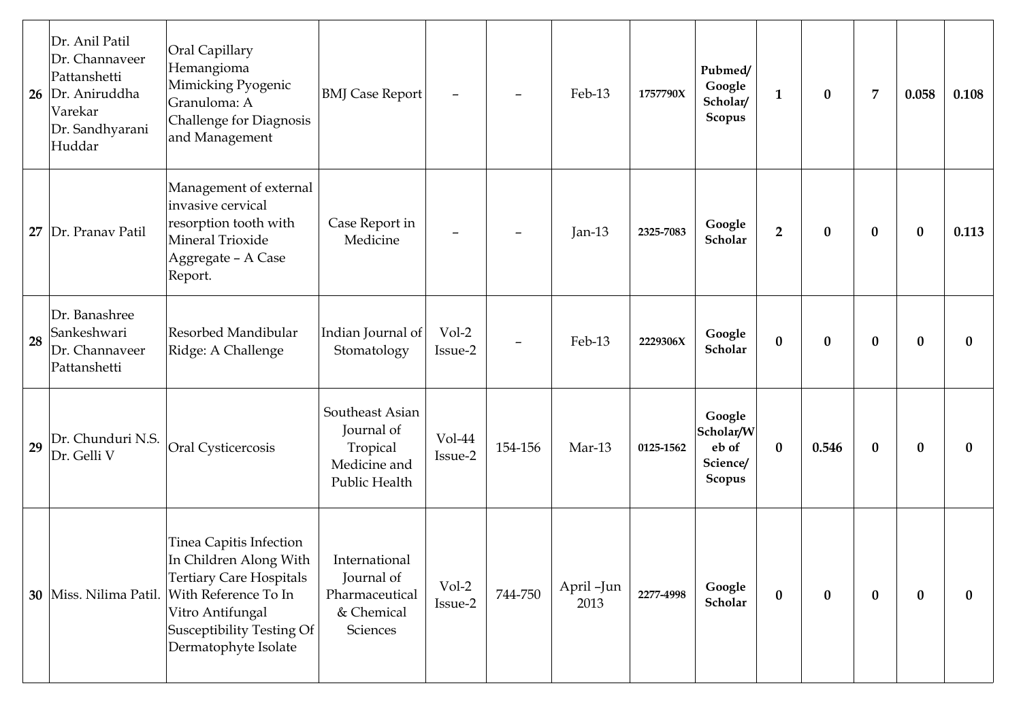| 26 | Dr. Anil Patil<br>Dr. Channaveer<br>Pattanshetti<br>Dr. Aniruddha<br>Varekar<br>Dr. Sandhyarani<br>Huddar | Oral Capillary<br>Hemangioma<br>Mimicking Pyogenic<br>Granuloma: A<br><b>Challenge for Diagnosis</b><br>and Management                                                                        | <b>BMJ</b> Case Report                                                     | $\overline{\phantom{m}}$ |                          | Feb-13             | 1757790X  | Pubmed/<br>Google<br>Scholar/<br>Scopus            | $\mathbf{1}$     | $\bf{0}$ | $\overline{7}$   | 0.058            | 0.108    |
|----|-----------------------------------------------------------------------------------------------------------|-----------------------------------------------------------------------------------------------------------------------------------------------------------------------------------------------|----------------------------------------------------------------------------|--------------------------|--------------------------|--------------------|-----------|----------------------------------------------------|------------------|----------|------------------|------------------|----------|
| 27 | Dr. Pranav Patil                                                                                          | Management of external<br>invasive cervical<br>resorption tooth with<br>Mineral Trioxide<br>Aggregate - A Case<br>Report.                                                                     | Case Report in<br>Medicine                                                 | $\qquad \qquad -$        |                          | Jan-13             | 2325-7083 | Google<br>Scholar                                  | $\overline{2}$   | $\bf{0}$ | $\bf{0}$         | $\boldsymbol{0}$ | 0.113    |
| 28 | Dr. Banashree<br>Sankeshwari<br>Dr. Channaveer<br>Pattanshetti                                            | Resorbed Mandibular<br>Ridge: A Challenge                                                                                                                                                     | Indian Journal of<br>Stomatology                                           | $Vol-2$<br>Issue-2       | $\overline{\phantom{0}}$ | Feb-13             | 2229306X  | Google<br>Scholar                                  | $\bf{0}$         | $\bf{0}$ | $\boldsymbol{0}$ | $\bf{0}$         | $\bf{0}$ |
| 29 | Dr. Chunduri N.S.<br>Dr. Gelli V                                                                          | Oral Cysticercosis                                                                                                                                                                            | Southeast Asian<br>Journal of<br>Tropical<br>Medicine and<br>Public Health | Vol-44<br>Issue-2        | 154-156                  | Mar-13             | 0125-1562 | Google<br>Scholar/W<br>eb of<br>Science/<br>Scopus | $\bf{0}$         | 0.546    | $\bf{0}$         | $\bf{0}$         | $\bf{0}$ |
|    | 30   Miss. Nilima Patil.                                                                                  | Tinea Capitis Infection<br>In Children Along With  <br><b>Tertiary Care Hospitals</b><br>With Reference To In<br>Vitro Antifungal<br><b>Susceptibility Testing Of</b><br>Dermatophyte Isolate | International<br>Journal of<br>Pharmaceutical<br>& Chemical<br>Sciences    | Vol-2<br>Issue-2         | 744-750                  | April -Jun<br>2013 | 2277-4998 | Google<br>Scholar                                  | $\boldsymbol{0}$ | $\bf{0}$ | $\bf{0}$         | $\bf{0}$         | $\bf{0}$ |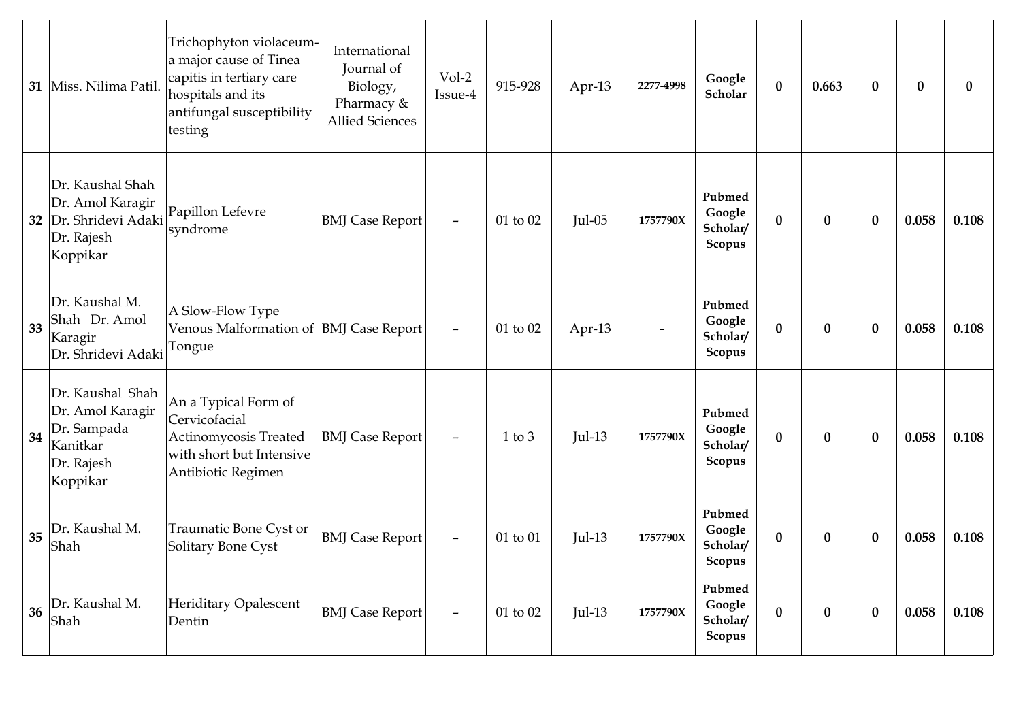|    | 31   Miss. Nilima Patil.                                                                  | Trichophyton violaceum-<br>a major cause of Tinea<br>capitis in tertiary care<br>hospitals and its<br>antifungal susceptibility<br>testing | International<br>Journal of<br>Biology,<br>Pharmacy &<br><b>Allied Sciences</b> | Vol-2<br>Issue-4         | 915-928    | Apr-13   | 2277-4998 | Google<br>$\bf{0}$<br>Scholar                              | 0.663            | $\bf{0}$         | $\bf{0}$ | $\bf{0}$ |
|----|-------------------------------------------------------------------------------------------|--------------------------------------------------------------------------------------------------------------------------------------------|---------------------------------------------------------------------------------|--------------------------|------------|----------|-----------|------------------------------------------------------------|------------------|------------------|----------|----------|
| 32 | Dr. Kaushal Shah<br>Dr. Amol Karagir<br>Dr. Shridevi Adaki<br>Dr. Rajesh<br>Koppikar      | Papillon Lefevre<br>syndrome                                                                                                               | <b>BMJ</b> Case Report                                                          | $\qquad \qquad -$        | 01 to 02   | $Jul-05$ | 1757790X  | Pubmed<br>Google<br>$\bf{0}$<br>Scholar/<br>Scopus         | $\boldsymbol{0}$ | $\bf{0}$         | 0.058    | 0.108    |
| 33 | Dr. Kaushal M.<br>Shah Dr. Amol<br>Karagir<br>Dr. Shridevi Adaki                          | A Slow-Flow Type<br>Venous Malformation of  BMJ Case Report <br>Tongue                                                                     |                                                                                 | $\overline{\phantom{m}}$ | 01 to 02   | Apr-13   |           | Pubmed<br>Google<br>$\bf{0}$<br>Scholar/<br>Scopus         | $\bf{0}$         | $\bf{0}$         | 0.058    | 0.108    |
| 34 | Dr. Kaushal Shah<br>Dr. Amol Karagir<br>Dr. Sampada<br>Kanitkar<br>Dr. Rajesh<br>Koppikar | An a Typical Form of<br>Cervicofacial<br>Actinomycosis Treated<br>with short but Intensive<br>Antibiotic Regimen                           | <b>BMJ</b> Case Report                                                          | $\overline{\phantom{m}}$ | $1$ to $3$ | $Jul-13$ | 1757790X  | Pubmed<br>Google<br>$\bf{0}$<br>Scholar/<br>Scopus         | $\boldsymbol{0}$ | $\boldsymbol{0}$ | 0.058    | 0.108    |
| 35 | Dr. Kaushal M.<br>Shah                                                                    | Traumatic Bone Cyst or<br>Solitary Bone Cyst                                                                                               | <b>BMJ</b> Case Report                                                          | -                        | 01 to 01   | $Jul-13$ | 1757790X  | Pubmed<br>Google<br>$\boldsymbol{0}$<br>Scholar/<br>Scopus | 0                | $\bf{0}$         | 0.058    | 0.108    |
| 36 | Dr. Kaushal M.<br>Shah                                                                    | Heriditary Opalescent<br>Dentin                                                                                                            | <b>BMJ</b> Case Report                                                          | $\overline{\phantom{m}}$ | 01 to 02   | $Jul-13$ | 1757790X  | Pubmed<br>Google<br>$\bf{0}$<br>Scholar/<br>Scopus         | $\boldsymbol{0}$ | $\bf{0}$         | 0.058    | 0.108    |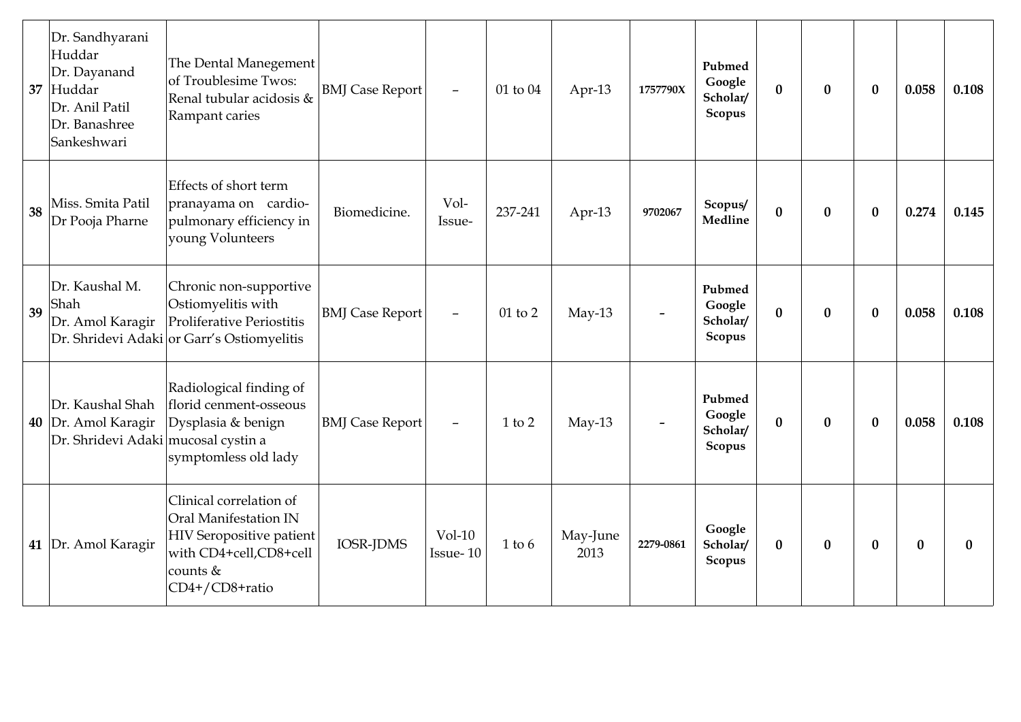| 37 | Dr. Sandhyarani<br>Huddar<br>Dr. Dayanand<br>Huddar<br>Dr. Anil Patil<br>Dr. Banashree<br>Sankeshwari | The Dental Manegement<br>of Troublesime Twos:<br>Renal tubular acidosis &<br>Rampant caries                                                   | <b>BMJ</b> Case Report | $\overline{\phantom{a}}$ | 01 to 04   | Apr-13           | 1757790X  | Pubmed<br>Google<br>Scholar/<br>Scopus | $\mathbf{0}$ | $\bf{0}$ | $\mathbf{0}$ | 0.058    | 0.108        |
|----|-------------------------------------------------------------------------------------------------------|-----------------------------------------------------------------------------------------------------------------------------------------------|------------------------|--------------------------|------------|------------------|-----------|----------------------------------------|--------------|----------|--------------|----------|--------------|
| 38 | Miss. Smita Patil<br>Dr Pooja Pharne                                                                  | Effects of short term<br>pranayama on cardio-<br>pulmonary efficiency in<br>young Volunteers                                                  | Biomedicine.           | Vol-<br>Issue-           | 237-241    | Apr-13           | 9702067   | Scopus/<br>Medline                     | $\bf{0}$     | $\bf{0}$ | $\bf{0}$     | 0.274    | 0.145        |
| 39 | Dr. Kaushal M.<br>Shah<br>Dr. Amol Karagir                                                            | Chronic non-supportive<br>Ostiomyelitis with<br>Proliferative Periostitis<br>Dr. Shridevi Adaki or Garr's Ostiomyelitis                       | <b>BMJ</b> Case Report | $\overline{\phantom{0}}$ | 01 to 2    | $May-13$         |           | Pubmed<br>Google<br>Scholar/<br>Scopus | $\bf{0}$     | $\bf{0}$ | $\bf{0}$     | 0.058    | 0.108        |
|    | Dr. Kaushal Shah<br>40 Dr. Amol Karagir<br>Dr. Shridevi Adaki mucosal cystin a                        | Radiological finding of<br>florid cenment-osseous<br>Dysplasia & benign<br>symptomless old lady                                               | <b>BMJ</b> Case Report | $\overline{\phantom{0}}$ | $1$ to $2$ | $May-13$         |           | Pubmed<br>Google<br>Scholar/<br>Scopus | $\bf{0}$     | $\bf{0}$ | $\bf{0}$     | 0.058    | 0.108        |
|    | 41 Dr. Amol Karagir                                                                                   | Clinical correlation of<br>Oral Manifestation IN<br><b>HIV</b> Seropositive patient<br>with CD4+cell,CD8+cell<br>counts $&$<br>CD4+/CD8+ratio | <b>IOSR-JDMS</b>       | $Vol-10$<br>Issue-10     | $1$ to $6$ | May-June<br>2013 | 2279-0861 | Google<br>Scholar/<br>Scopus           | $\bf{0}$     | $\bf{0}$ | $\bf{0}$     | $\bf{0}$ | $\mathbf{0}$ |